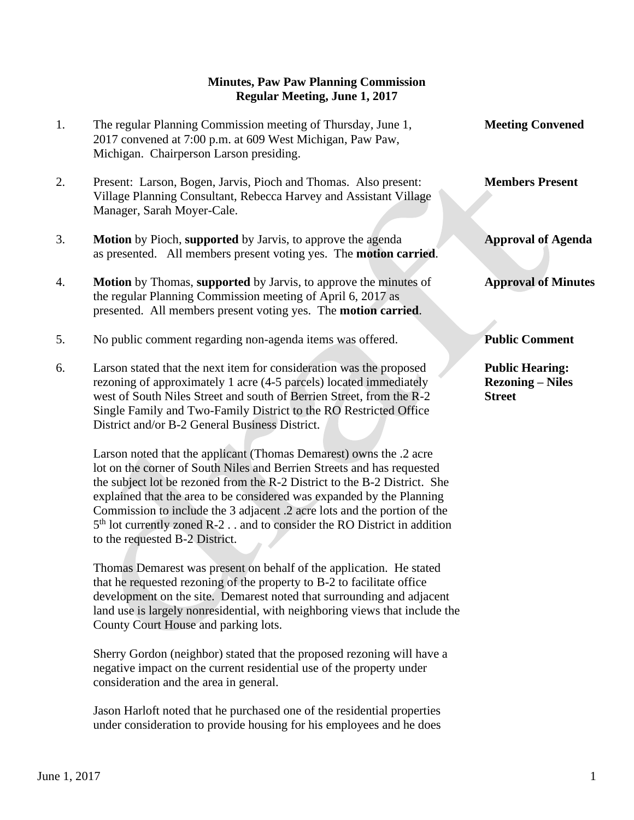## **Minutes, Paw Paw Planning Commission Regular Meeting, June 1, 2017**

- 1. The regular Planning Commission meeting of Thursday, June 1, **Meeting Convened** 2017 convened at 7:00 p.m. at 609 West Michigan, Paw Paw, Michigan. Chairperson Larson presiding.
- 2. Present: Larson, Bogen, Jarvis, Pioch and Thomas. Also present: **Members Present** Village Planning Consultant, Rebecca Harvey and Assistant Village Manager, Sarah Moyer-Cale.
- 3. **Motion** by Pioch, **supported** by Jarvis, to approve the agenda **Approval of Agenda** as presented. All members present voting yes. The **motion carried**.
- 4. **Motion** by Thomas, **supported** by Jarvis, to approve the minutes of **Approval of Minutes** the regular Planning Commission meeting of April 6, 2017 as presented. All members present voting yes. The **motion carried**.
- 5. No public comment regarding non-agenda items was offered. **Public Comment**
- 6. Larson stated that the next item for consideration was the proposed **Public Hearing:** rezoning of approximately 1 acre (4-5 parcels) located immediately **Rezoning – Niles** west of South Niles Street and south of Berrien Street, from the R-2 **Street** Single Family and Two-Family District to the RO Restricted Office District and/or B-2 General Business District.

 Larson noted that the applicant (Thomas Demarest) owns the .2 acre lot on the corner of South Niles and Berrien Streets and has requested the subject lot be rezoned from the R-2 District to the B-2 District. She explained that the area to be considered was expanded by the Planning Commission to include the 3 adjacent .2 acre lots and the portion of the 5<sup>th</sup> lot currently zoned R-2 . . and to consider the RO District in addition to the requested B-2 District.

 Thomas Demarest was present on behalf of the application. He stated that he requested rezoning of the property to B-2 to facilitate office development on the site. Demarest noted that surrounding and adjacent land use is largely nonresidential, with neighboring views that include the County Court House and parking lots.

 Sherry Gordon (neighbor) stated that the proposed rezoning will have a negative impact on the current residential use of the property under consideration and the area in general.

 Jason Harloft noted that he purchased one of the residential properties under consideration to provide housing for his employees and he does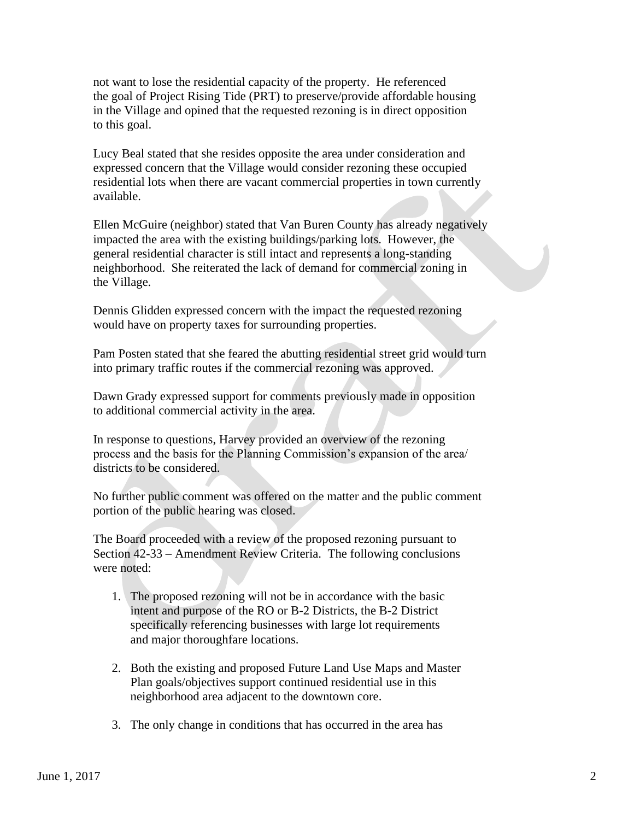not want to lose the residential capacity of the property. He referenced the goal of Project Rising Tide (PRT) to preserve/provide affordable housing in the Village and opined that the requested rezoning is in direct opposition to this goal.

 Lucy Beal stated that she resides opposite the area under consideration and expressed concern that the Village would consider rezoning these occupied residential lots when there are vacant commercial properties in town currently available.

 Ellen McGuire (neighbor) stated that Van Buren County has already negatively impacted the area with the existing buildings/parking lots. However, the general residential character is still intact and represents a long-standing neighborhood. She reiterated the lack of demand for commercial zoning in the Village.

 Dennis Glidden expressed concern with the impact the requested rezoning would have on property taxes for surrounding properties.

 Pam Posten stated that she feared the abutting residential street grid would turn into primary traffic routes if the commercial rezoning was approved.

 Dawn Grady expressed support for comments previously made in opposition to additional commercial activity in the area.

 In response to questions, Harvey provided an overview of the rezoning process and the basis for the Planning Commission's expansion of the area/ districts to be considered.

 No further public comment was offered on the matter and the public comment portion of the public hearing was closed.

 The Board proceeded with a review of the proposed rezoning pursuant to Section 42-33 – Amendment Review Criteria. The following conclusions were noted:

- 1. The proposed rezoning will not be in accordance with the basic intent and purpose of the RO or B-2 Districts, the B-2 District specifically referencing businesses with large lot requirements and major thoroughfare locations.
- 2. Both the existing and proposed Future Land Use Maps and Master Plan goals/objectives support continued residential use in this neighborhood area adjacent to the downtown core.
- 3. The only change in conditions that has occurred in the area has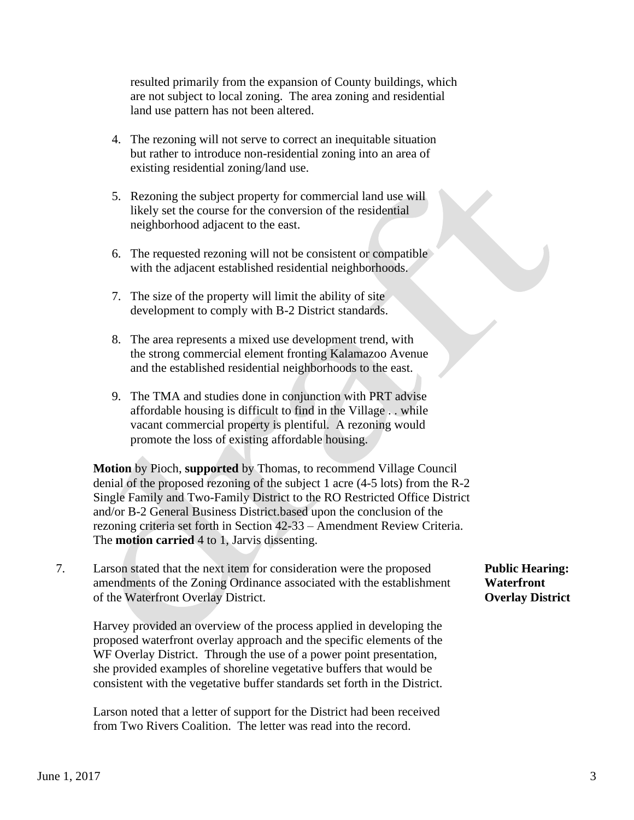resulted primarily from the expansion of County buildings, which are not subject to local zoning. The area zoning and residential land use pattern has not been altered.

- 4. The rezoning will not serve to correct an inequitable situation but rather to introduce non-residential zoning into an area of existing residential zoning/land use.
- 5. Rezoning the subject property for commercial land use will likely set the course for the conversion of the residential neighborhood adjacent to the east.
- 6. The requested rezoning will not be consistent or compatible with the adjacent established residential neighborhoods.
- 7. The size of the property will limit the ability of site development to comply with B-2 District standards.
- 8. The area represents a mixed use development trend, with the strong commercial element fronting Kalamazoo Avenue and the established residential neighborhoods to the east.
- 9. The TMA and studies done in conjunction with PRT advise affordable housing is difficult to find in the Village . . while vacant commercial property is plentiful. A rezoning would promote the loss of existing affordable housing.

 **Motion** by Pioch, **supported** by Thomas, to recommend Village Council denial of the proposed rezoning of the subject 1 acre (4-5 lots) from the R-2 Single Family and Two-Family District to the RO Restricted Office District and/or B-2 General Business District.based upon the conclusion of the rezoning criteria set forth in Section 42-33 – Amendment Review Criteria. The **motion carried** 4 to 1, Jarvis dissenting.

7. Larson stated that the next item for consideration were the proposed **Public Hearing:** amendments of the Zoning Ordinance associated with the establishment **Waterfront** of the Waterfront Overlay District. **Overlay District**

 Harvey provided an overview of the process applied in developing the proposed waterfront overlay approach and the specific elements of the WF Overlay District. Through the use of a power point presentation, she provided examples of shoreline vegetative buffers that would be consistent with the vegetative buffer standards set forth in the District.

 Larson noted that a letter of support for the District had been received from Two Rivers Coalition. The letter was read into the record.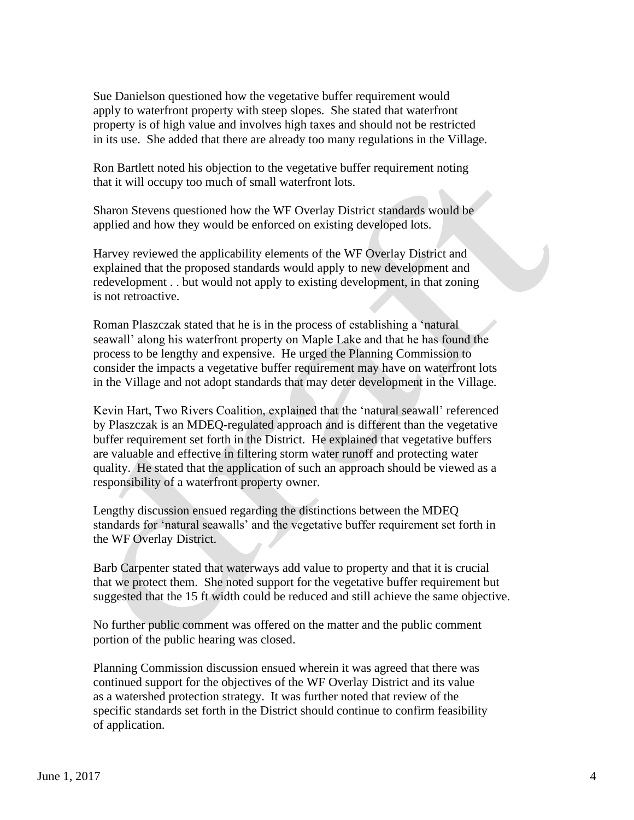Sue Danielson questioned how the vegetative buffer requirement would apply to waterfront property with steep slopes. She stated that waterfront property is of high value and involves high taxes and should not be restricted in its use. She added that there are already too many regulations in the Village.

 Ron Bartlett noted his objection to the vegetative buffer requirement noting that it will occupy too much of small waterfront lots.

 Sharon Stevens questioned how the WF Overlay District standards would be applied and how they would be enforced on existing developed lots.

 Harvey reviewed the applicability elements of the WF Overlay District and explained that the proposed standards would apply to new development and redevelopment . . but would not apply to existing development, in that zoning is not retroactive.

 Roman Plaszczak stated that he is in the process of establishing a 'natural seawall' along his waterfront property on Maple Lake and that he has found the process to be lengthy and expensive. He urged the Planning Commission to consider the impacts a vegetative buffer requirement may have on waterfront lots in the Village and not adopt standards that may deter development in the Village.

 Kevin Hart, Two Rivers Coalition, explained that the 'natural seawall' referenced by Plaszczak is an MDEQ-regulated approach and is different than the vegetative buffer requirement set forth in the District. He explained that vegetative buffers are valuable and effective in filtering storm water runoff and protecting water quality. He stated that the application of such an approach should be viewed as a responsibility of a waterfront property owner.

 Lengthy discussion ensued regarding the distinctions between the MDEQ standards for 'natural seawalls' and the vegetative buffer requirement set forth in the WF Overlay District.

 Barb Carpenter stated that waterways add value to property and that it is crucial that we protect them. She noted support for the vegetative buffer requirement but suggested that the 15 ft width could be reduced and still achieve the same objective.

 No further public comment was offered on the matter and the public comment portion of the public hearing was closed.

 Planning Commission discussion ensued wherein it was agreed that there was continued support for the objectives of the WF Overlay District and its value as a watershed protection strategy. It was further noted that review of the specific standards set forth in the District should continue to confirm feasibility of application.